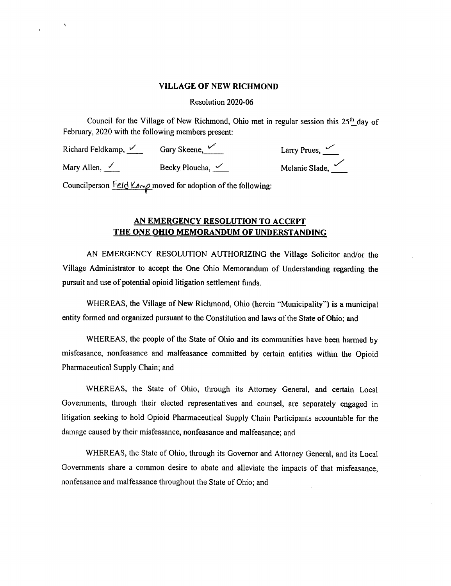## VILLAGE OF NEW RICHMOND

Resolution 2020-06

Council for the Village of New Richmond, Ohio met in regular session this 25<sup>th</sup> day of February, 2020 with the following members present:

Mary Allen,  $\angle$  Becky Ploucha,  $\angle$ 

Richard Feldkamp, V Gary Skeene, Larry Prues, V Larry Prues, V Larry Prues, V Larry Prues, V Cary Skeene, Larry Prues, V Larry Prues, V Larry Prues, V Cary Skeene, Cary Skeene, Larry Prues, V Larry Prues, V Cary Skeene, La

Councilperson Feld Komp moved for adoption of the following:

## AN EMERGENCY RESOLUTION TO ACCEPT THE ONE OHIO MEMORANDUM OF UNDERSTANDING

AN EMERGENCY RESOLUTION AUTHORIZING the Village Solicitor and/or the Village Administrator to accept the One Ohio Memorandum of Understanding regarding the pursuit and use of potential opioid litigation settlement funds.

WHEREAS, the Village of New Richmond, Ohio (herein "Municipality") is a municipal entity formed and organized pursuant to the Constitution and laws ofthe State of Ohio; and

WHEREAS, the people of the State of Ohio and its communities have been harmed by misfeasance, nonfeasance and malfeasance committed by certain entities within the Opioid Pharmaceutical Supply Chain; and

WHEREAS, the State of Ohio, through its Attorney General, and certain Local Governments, through their elected representatives and counsel, are separately engaged in litigation seeking to hold Opioid Pharmaceutical Supply Chain Participants accountable for the damage caused by their misfeasance, nonfeasance and malfeasance; and

WHEREAS, the State of Ohio, through its Governor and Attorney General, and its Local Governments share <sup>a</sup> common desire to abate and alleviate the impacts of that misfeasance, nonfeasance and malfeasance throughout the State of Ohio; and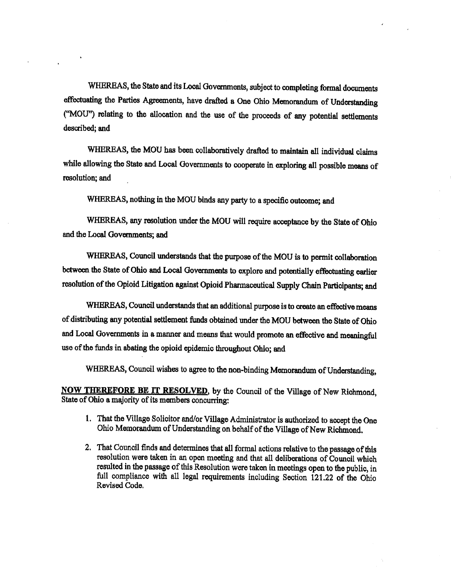WHEREAS, the State and its Local Governments, subject to completing formal documents effectuating the Parties Agreements, have drafted a One Ohio Memorandum of Understanding MOU") relating to the allocation and the use of the proceeds of any potential settlements described; and

WHEREAS, the MOU has been collaboratively drafted to maintain all individual claims while allowing the State and Local Governments to cooperate in exploring all possible means of resolution; and

WHEREAS, nothing in the MOU binds any party to a specific outcome; and

WHEREAS, any resolution under the MOU will require acceptance by the State of Ohio and the Local Governments; and

WHEREAS, Council understands that the purpose of the MOU is to permit collaboration between the State of Ohio and Local Governments to explore and potentially effectuating earlier resolution of the Opioid Litigation against Opioid Pharmaceutical Supply Chain Participants; and

WHEREAS, Council understands that an additional purpose is to create an effective means of distributing any potential settlement funds obtained under the MOU between the State of Ohio and Local Governments in a manner and means that would promote an effective and meaningful use of the funds in abating the opioid epidemic throughout Ohio; and

WHEREAS, Council wishes to agree to the non-binding Memorandum of Understanding,

NOW THEREFORE BE IT RESOLVED, by the Council of the Village of New Richmond, State of Ohio a majority of its members concurring:

- 1. That the Village Solicitor and/or Village Administrator is authorized to accept the One Ohio Memorandum of Understanding on behalf of the Village of New Richmond.
- 2. That Council finds and determines that all formal actions relative to the passage of this resolution were taken in an open meeting and that all deliberations of Council which resulted in the passage of this Resolution were taken in meetings open to the public, in full compliance with all legal requirements including Section 121.22 of the Ohio Revised Code.